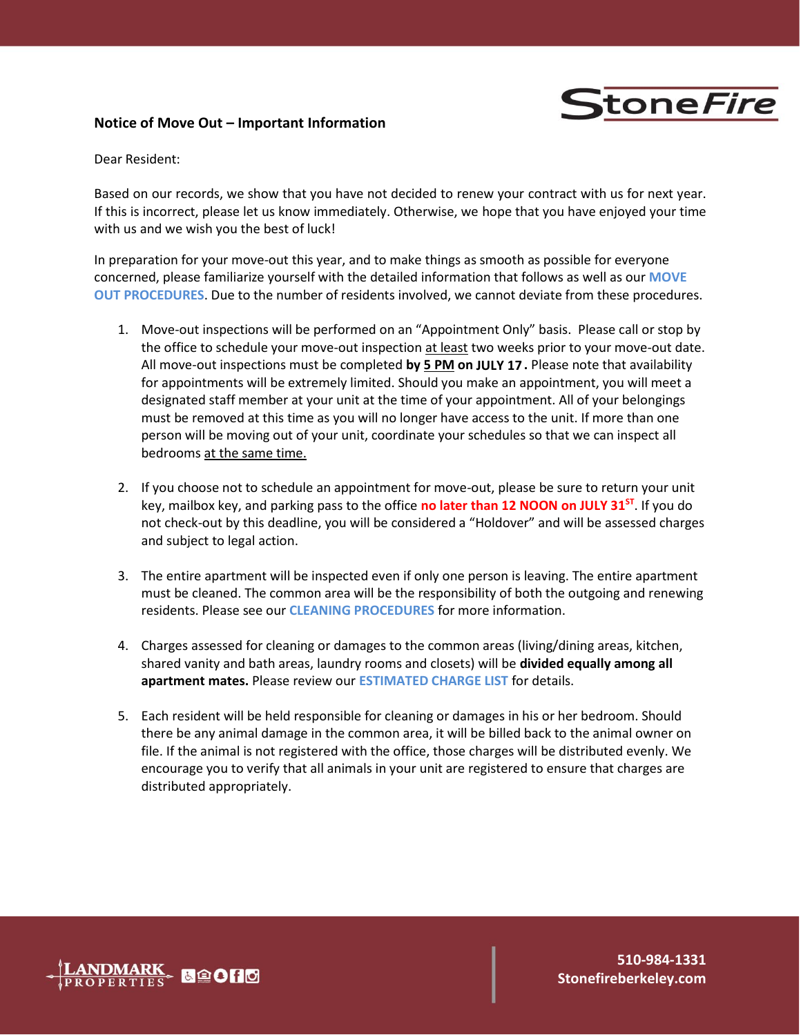# **Stone Fire**

# **Notice of Move Out – Important Information**

Dear Resident:

Based on our records, we show that you have not decided to renew your contract with us for next year. If this is incorrect, please let us know immediately. Otherwise, we hope that you have enjoyed your time with us and we wish you the best of luck!

In preparation for your move-out this year, and to make things as smooth as possible for everyone concerned, please familiarize yourself with the detailed information that follows as well as our **MOVE OUT PROCEDURES**. Due to the number of residents involved, we cannot deviate from these procedures.

- 1. Move-out inspections will be performed on an "Appointment Only" basis. Please call or stop by the office to schedule your move-out inspection at least two weeks prior to your move-out date. All move-out inspections must be completed **by 5 PM on JULY 17 .** Please note that availability for appointments will be extremely limited. Should you make an appointment, you will meet a designated staff member at your unit at the time of your appointment. All of your belongings must be removed at this time as you will no longer have access to the unit. If more than one person will be moving out of your unit, coordinate your schedules so that we can inspect all bedrooms at the same time.
- 2. If you choose not to schedule an appointment for move-out, please be sure to return your unit key, mailbox key, and parking pass to the office **no later than 12 NOON on JULY 31ST**. If you do not check-out by this deadline, you will be considered a "Holdover" and will be assessed charges and subject to legal action.
- 3. The entire apartment will be inspected even if only one person is leaving. The entire apartment must be cleaned. The common area will be the responsibility of both the outgoing and renewing residents. Please see our **CLEANING PROCEDURES** for more information.
- 4. Charges assessed for cleaning or damages to the common areas (living/dining areas, kitchen, shared vanity and bath areas, laundry rooms and closets) will be **divided equally among all apartment mates.** Please review our **ESTIMATED CHARGE LIST** for details.
- 5. Each resident will be held responsible for cleaning or damages in his or her bedroom. Should there be any animal damage in the common area, it will be billed back to the animal owner on file. If the animal is not registered with the office, those charges will be distributed evenly. We encourage you to verify that all animals in your unit are registered to ensure that charges are distributed appropriately.

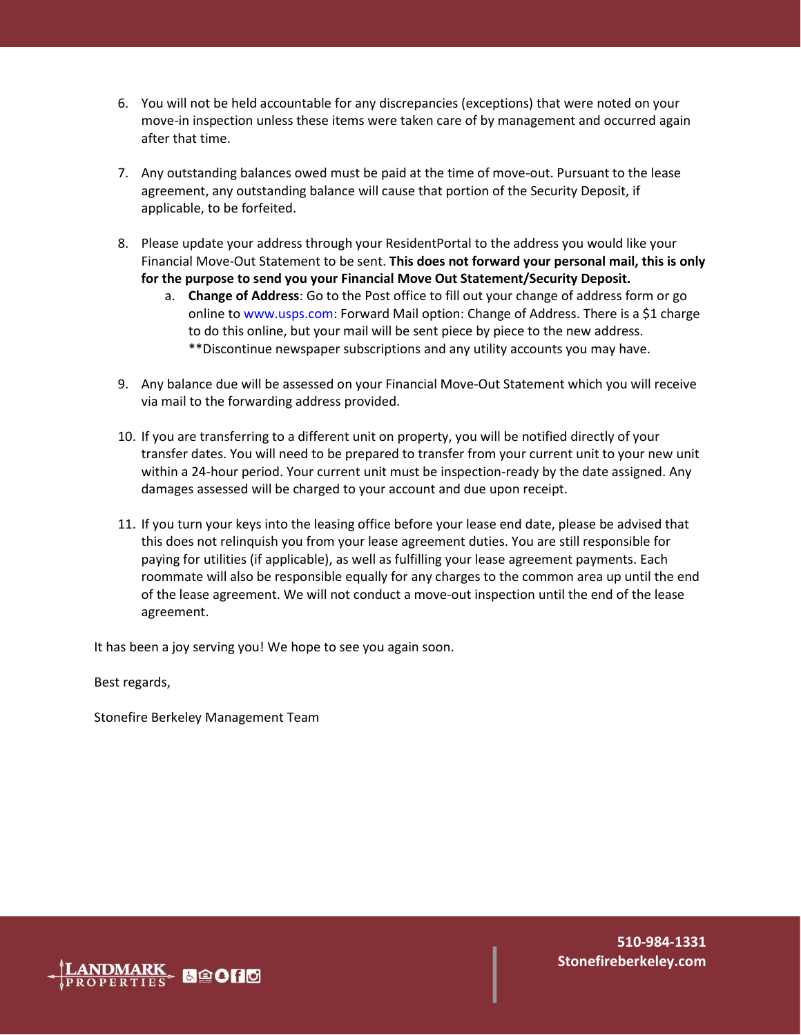- 6. You will not be held accountable for any discrepancies (exceptions) that were noted on your move-in inspection unless these items were taken care of by management and occurred again after that time.
- 7. Any outstanding balances owed must be paid at the time of move-out. Pursuant to the lease agreement, any outstanding balance will cause that portion of the Security Deposit, if applicable, to be forfeited.
- 8. Please update your address through your ResidentPortal to the address you would like your Financial Move-Out Statement to be sent. **This does not forward your personal mail, this is only for the purpose to send you your Financial Move Out Statement/Security Deposit.** 
	- a. **Change of Address**: Go to the Post office to fill out your change of address form or go online to www.usps.com: Forward Mail option: Change of Address. There is a \$1 charge to do this online, but your mail will be sent piece by piece to the new address. \*\*Discontinue newspaper subscriptions and any utility accounts you may have.
- 9. Any balance due will be assessed on your Financial Move-Out Statement which you will receive via mail to the forwarding address provided.
- 10. If you are transferring to a different unit on property, you will be notified directly of your transfer dates. You will need to be prepared to transfer from your current unit to your new unit within a 24-hour period. Your current unit must be inspection-ready by the date assigned. Any damages assessed will be charged to your account and due upon receipt.
- 11. If you turn your keys into the leasing office before your lease end date, please be advised that this does not relinquish you from your lease agreement duties. You are still responsible for paying for utilities (if applicable), as well as fulfilling your lease agreement payments. Each roommate will also be responsible equally for any charges to the common area up until the end of the lease agreement. We will not conduct a move-out inspection until the end of the lease agreement.

It has been a joy serving you! We hope to see you again soon.

Best regards,

Stonefire Berkeley Management Team

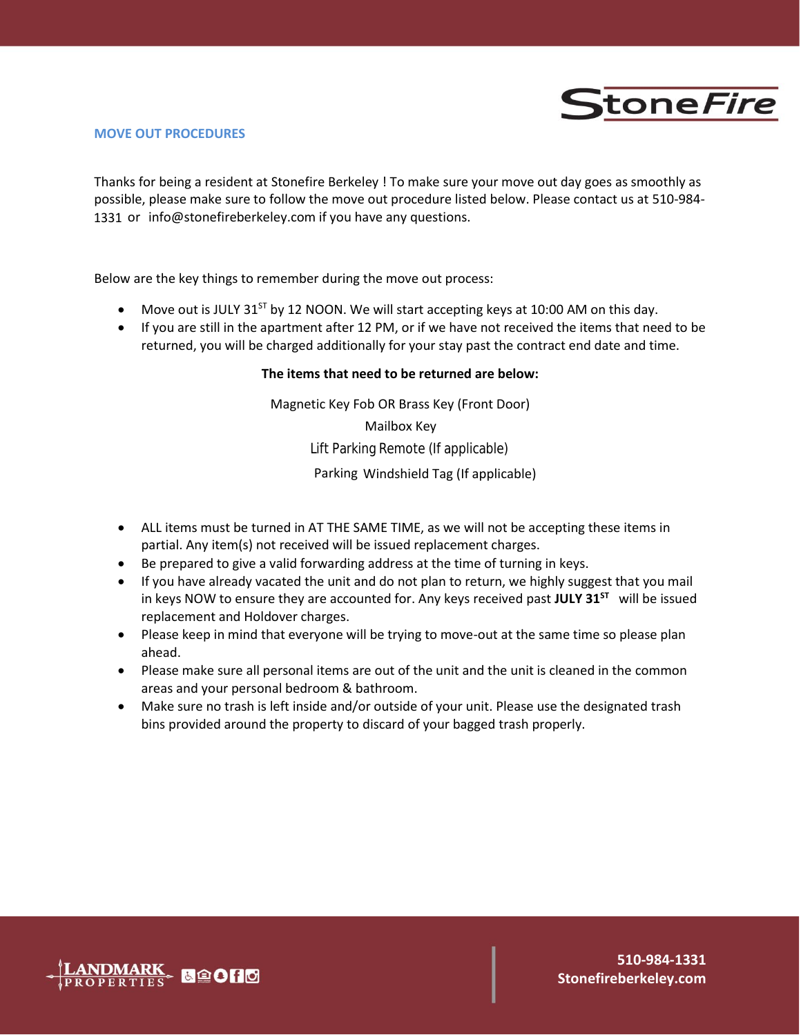

## **MOVE OUT PROCEDURES**

Thanks for being a resident at Stonefire Berkeley ! To make sure your move out day goes as smoothly as possible, please make sure to follow the move out procedure listed below. Please contact us at 510-984- 1331 or info@stonefireberkeley.com if you have any questions.

Below are the key things to remember during the move out process:

- Move out is JULY 31 $^{57}$  by 12 NOON. We will start accepting keys at 10:00 AM on this day.
- If you are still in the apartment after 12 PM, or if we have not received the items that need to be returned, you will be charged additionally for your stay past the contract end date and time.

# **The items that need to be returned are below:**

Magnetic Key Fob OR Brass Key (Front Door)

Mailbox Key

Lift Parking Remote (If applicable)

Parking Windshield Tag (If applicable)

- ALL items must be turned in AT THE SAME TIME, as we will not be accepting these items in partial. Any item(s) not received will be issued replacement charges.
- Be prepared to give a valid forwarding address at the time of turning in keys.
- If you have already vacated the unit and do not plan to return, we highly suggest that you mail in keys NOW to ensure they are accounted for. Any keys received past **JULY 31ST** will be issued replacement and Holdover charges.
- Please keep in mind that everyone will be trying to move-out at the same time so please plan ahead.
- Please make sure all personal items are out of the unit and the unit is cleaned in the common areas and your personal bedroom & bathroom.
- Make sure no trash is left inside and/or outside of your unit. Please use the designated trash bins provided around the property to discard of your bagged trash properly.

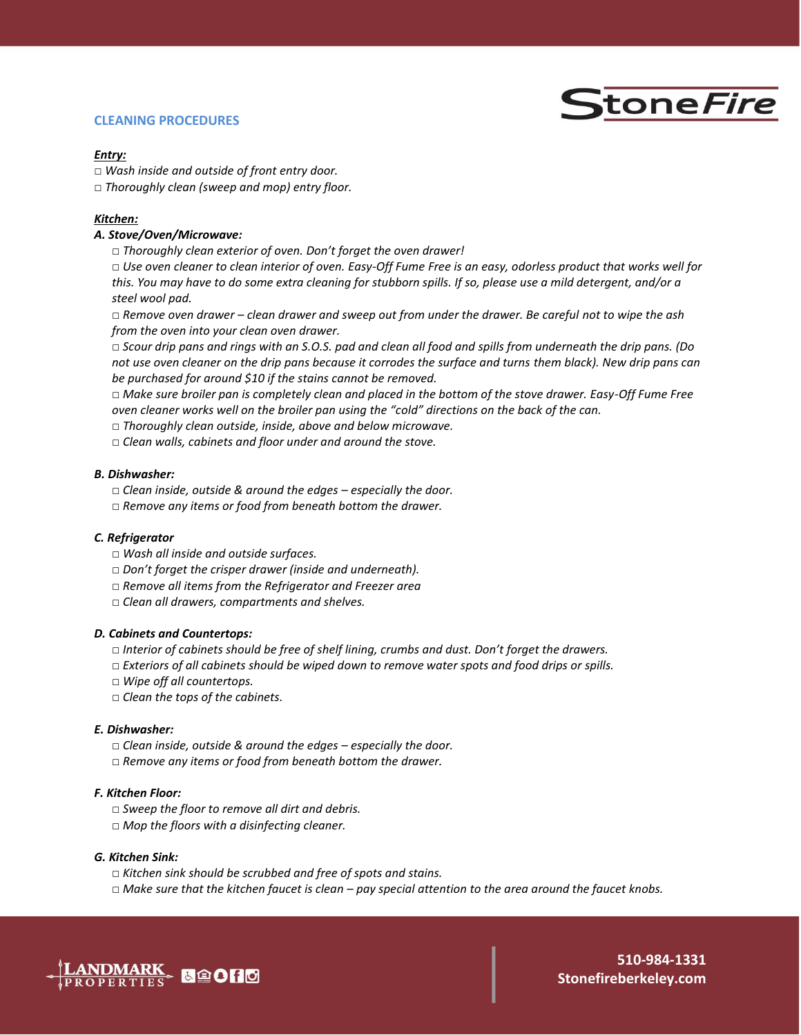## **CLEANING PROCEDURES**



#### *Entry:*

- □ *Wash inside and outside of front entry door.*
- □ *Thoroughly clean (sweep and mop) entry floor.*

#### *Kitchen:*

## *A. Stove/Oven/Microwave:*

□ *Thoroughly clean exterior of oven. Don't forget the oven drawer!* 

□ *Use oven cleaner to clean interior of oven. Easy-Off Fume Free is an easy, odorless product that works well for this. You may have to do some extra cleaning for stubborn spills. If so, please use a mild detergent, and/or a steel wool pad.* 

□ *Remove oven drawer – clean drawer and sweep out from under the drawer. Be careful not to wipe the ash from the oven into your clean oven drawer.* 

□ *Scour drip pans and rings with an S.O.S. pad and clean all food and spills from underneath the drip pans. (Do not use oven cleaner on the drip pans because it corrodes the surface and turns them black). New drip pans can be purchased for around \$10 if the stains cannot be removed.*

□ *Make sure broiler pan is completely clean and placed in the bottom of the stove drawer. Easy-Off Fume Free oven cleaner works well on the broiler pan using the "cold" directions on the back of the can.* 

- □ *Thoroughly clean outside, inside, above and below microwave.*
- □ *Clean walls, cabinets and floor under and around the stove.*

#### *B. Dishwasher:*

- □ *Clean inside, outside & around the edges – especially the door.*
- □ Remove any items or food from beneath bottom the drawer.

#### *C. Refrigerator*

- □ *Wash all inside and outside surfaces.*
- □ *Don't forget the crisper drawer (inside and underneath).*
- □ *Remove all items from the Refrigerator and Freezer area*
- □ *Clean all drawers, compartments and shelves.*

#### *D. Cabinets and Countertops:*

- □ *Interior of cabinets should be free of shelf lining, crumbs and dust. Don't forget the drawers.*
- □ *Exteriors of all cabinets should be wiped down to remove water spots and food drips or spills.*
- □ *Wipe off all countertops.*
- □ *Clean the tops of the cabinets.*

#### *E. Dishwasher:*

- □ *Clean inside, outside & around the edges – especially the door.*
- □ Remove any items or food from beneath bottom the drawer.

#### *F. Kitchen Floor:*

- □ *Sweep the floor to remove all dirt and debris.*
- □ Mop the floors with a disinfecting cleaner.

#### *G. Kitchen Sink:*

- □ *Kitchen sink should be scrubbed and free of spots and stains.*
- □ *Make sure that the kitchen faucet is clean – pay special attention to the area around the faucet knobs.*

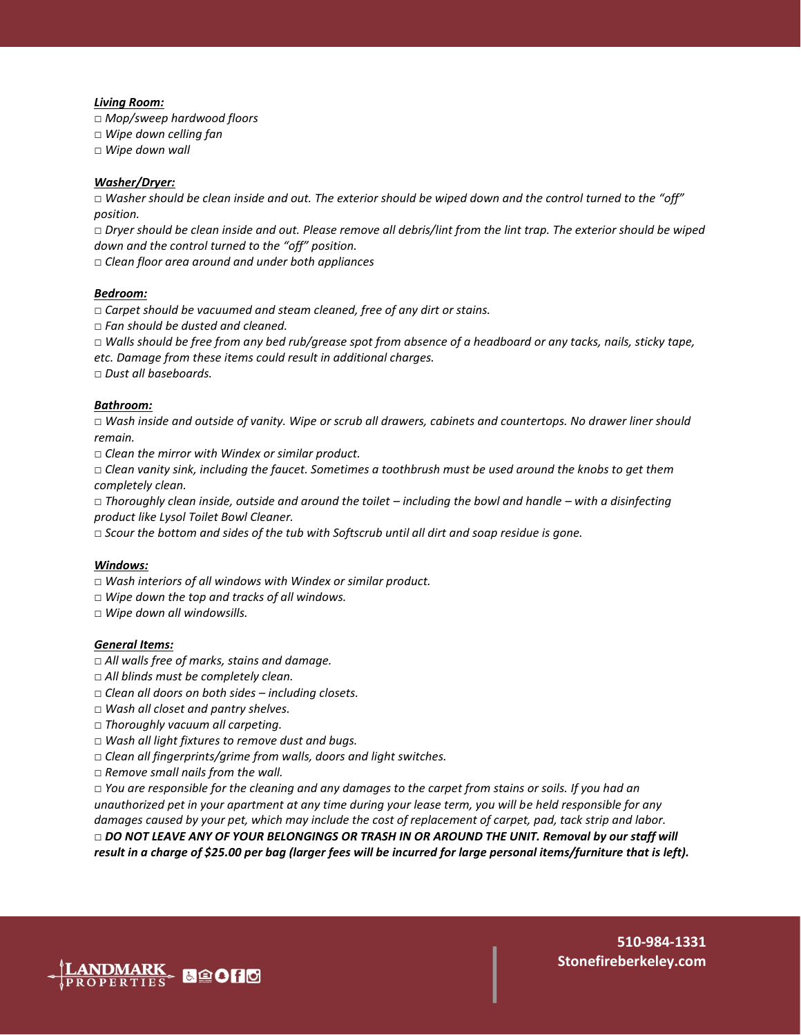#### *Living Room:*

□ *Mop/sweep hardwood floors* 

□ *Wipe down celling fan* 

□ *Wipe down wall*

#### *Washer/Dryer:*

□ *Washer should be clean inside and out. The exterior should be wiped down and the control turned to the "off" position.* 

□ *Dryer should be clean inside and out. Please remove all debris/lint from the lint trap. The exterior should be wiped down and the control turned to the "off" position.* 

□ *Clean floor area around and under both appliances* 

#### *Bedroom:*

□ *Carpet should be vacuumed and steam cleaned, free of any dirt or stains.* 

□ *Fan should be dusted and cleaned.* 

□ *Walls should be free from any bed rub/grease spot from absence of a headboard or any tacks, nails, sticky tape, etc. Damage from these items could result in additional charges.* 

□ *Dust all baseboards.*

#### *Bathroom:*

□ *Wash inside and outside of vanity. Wipe or scrub all drawers, cabinets and countertops. No drawer liner should remain.* 

□ *Clean the mirror with Windex or similar product.* 

□ *Clean vanity sink, including the faucet. Sometimes a toothbrush must be used around the knobs to get them completely clean.* 

□ *Thoroughly clean inside, outside and around the toilet – including the bowl and handle – with a disinfecting product like Lysol Toilet Bowl Cleaner.* 

□ Scour the bottom and sides of the tub with Softscrub until all dirt and soap residue is gone.

#### *Windows:*

□ *Wash interiors of all windows with Windex or similar product.* 

- □ *Wipe down the top and tracks of all windows.*
- □ *Wipe down all windowsills.*

#### *General Items:*

- □ *All walls free of marks, stains and damage.*
- □ All blinds must be completely clean.
- □ *Clean all doors on both sides – including closets.*
- □ *Wash all closet and pantry shelves.*
- □ *Thoroughly vacuum all carpeting.*
- □ *Wash all light fixtures to remove dust and bugs.*
- □ *Clean all fingerprints/grime from walls, doors and light switches.*
- □ *Remove small nails from the wall.*

□ *You are responsible for the cleaning and any damages to the carpet from stains or soils. If you had an unauthorized pet in your apartment at any time during your lease term, you will be held responsible for any damages caused by your pet, which may include the cost of replacement of carpet, pad, tack strip and labor.*  □ *DO NOT LEAVE ANY OF YOUR BELONGINGS OR TRASH IN OR AROUND THE UNIT. Removal by our staff will result in a charge of \$25.00 per bag (larger fees will be incurred for large personal items/furniture that is left).*

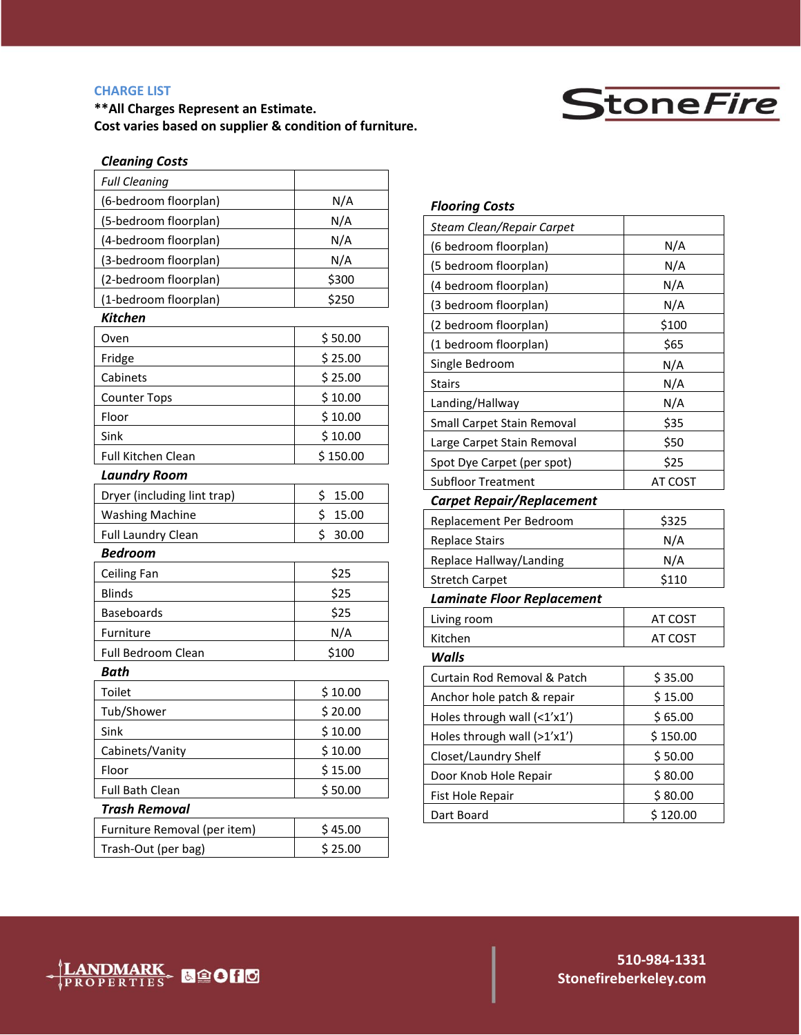# **CHARGE LIST**

**\*\*All Charges Represent an Estimate. Cost varies based on supplier & condition of furniture.**



# *Cleaning Costs*

| <b>Full Cleaning</b>         |             |
|------------------------------|-------------|
| (6-bedroom floorplan)        | N/A         |
| (5-bedroom floorplan)        | N/A         |
| (4-bedroom floorplan)        | N/A         |
| (3-bedroom floorplan)        | N/A         |
| (2-bedroom floorplan)        | \$300       |
| (1-bedroom floorplan)        | \$250       |
| Kitchen                      |             |
| Oven                         | \$50.00     |
| Fridge                       | \$25.00     |
| Cabinets                     | \$25.00     |
| <b>Counter Tops</b>          | \$10.00     |
| Floor                        | \$10.00     |
| Sink                         | \$10.00     |
| <b>Full Kitchen Clean</b>    | \$150.00    |
| Laundry Room                 |             |
| Dryer (including lint trap)  | \$<br>15.00 |
| <b>Washing Machine</b>       | \$<br>15.00 |
| <b>Full Laundry Clean</b>    | \$<br>30.00 |
| <b>Bedroom</b>               |             |
| Ceiling Fan                  | \$25        |
| <b>Blinds</b>                | \$25        |
| <b>Baseboards</b>            | \$25        |
| Furniture                    | N/A         |
| Full Bedroom Clean           | \$100       |
| <b>Bath</b>                  |             |
| Toilet                       | \$10.00     |
| Tub/Shower                   | \$20.00     |
| Sink                         | \$10.00     |
| Cabinets/Vanity              | \$10.00     |
| Floor                        | \$15.00     |
| <b>Full Bath Clean</b>       | \$50.00     |
| Trash Removal                |             |
| Furniture Removal (per item) | \$45.00     |
| Trash-Out (per bag)          | \$25.00     |
|                              |             |

| <b>Flooring Costs</b>             |          |
|-----------------------------------|----------|
| Steam Clean/Repair Carpet         |          |
| (6 bedroom floorplan)             | N/A      |
| (5 bedroom floorplan)             | N/A      |
| (4 bedroom floorplan)             | N/A      |
| (3 bedroom floorplan)             | N/A      |
| (2 bedroom floorplan)             | \$100    |
| (1 bedroom floorplan)             | \$65     |
| Single Bedroom                    | N/A      |
| Stairs                            | N/A      |
| Landing/Hallway                   | N/A      |
| Small Carpet Stain Removal        | \$35     |
| Large Carpet Stain Removal        | \$50     |
| Spot Dye Carpet (per spot)        | \$25     |
| <b>Subfloor Treatment</b>         | AT COST  |
| <b>Carpet Repair/Replacement</b>  |          |
| Replacement Per Bedroom           | \$325    |
| <b>Replace Stairs</b>             | N/A      |
| Replace Hallway/Landing           | N/A      |
| <b>Stretch Carpet</b>             | \$110    |
| <b>Laminate Floor Replacement</b> |          |
| Living room                       | AT COST  |
| Kitchen                           | AT COST  |
| Walls                             |          |
| Curtain Rod Removal & Patch       | \$35.00  |
| Anchor hole patch & repair        | \$15.00  |
| Holes through wall (<1'x1')       | \$65.00  |
| Holes through wall (>1'x1')       | \$150.00 |
| Closet/Laundry Shelf              | \$50.00  |
| Door Knob Hole Repair             | \$80.00  |
| Fist Hole Repair                  | \$80.00  |
| Dart Board                        | \$120.00 |

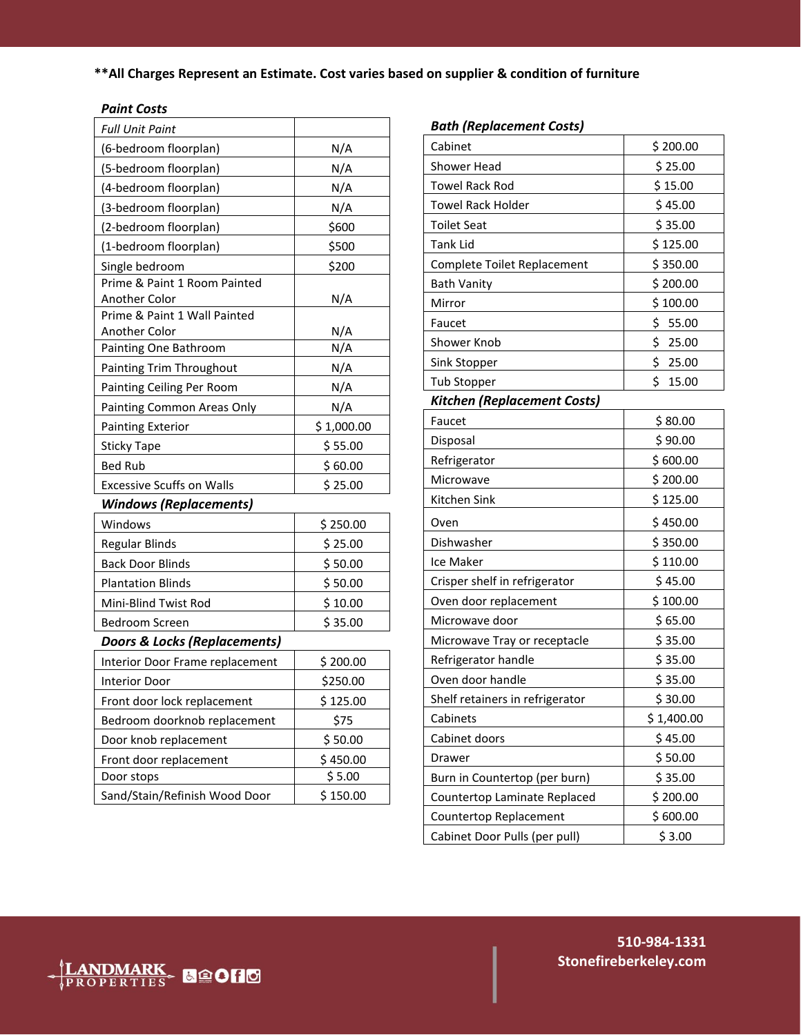**\*\*All Charges Represent an Estimate. Cost varies based on supplier & condition of furniture**

# *Paint Costs*

| <b>Full Unit Paint</b>                 |            |  |
|----------------------------------------|------------|--|
| (6-bedroom floorplan)                  | N/A        |  |
| (5-bedroom floorplan)                  | N/A        |  |
| (4-bedroom floorplan)                  | N/A        |  |
| (3-bedroom floorplan)                  | N/A        |  |
| (2-bedroom floorplan)                  | \$600      |  |
| (1-bedroom floorplan)                  | \$500      |  |
| Single bedroom                         | \$200      |  |
| Prime & Paint 1 Room Painted           |            |  |
| Another Color                          | N/A        |  |
| Prime & Paint 1 Wall Painted           |            |  |
| Another Color<br>Painting One Bathroom | N/A<br>N/A |  |
| Painting Trim Throughout               | N/A        |  |
| Painting Ceiling Per Room              | N/A        |  |
| Painting Common Areas Only             | N/A        |  |
| <b>Painting Exterior</b>               | \$1,000.00 |  |
| <b>Sticky Tape</b>                     | \$55.00    |  |
| <b>Bed Rub</b>                         | \$60.00    |  |
| <b>Excessive Scuffs on Walls</b>       | \$25.00    |  |
| <b>Windows (Replacements)</b>          |            |  |
| Windows                                | \$250.00   |  |
| Regular Blinds                         | \$25.00    |  |
| <b>Back Door Blinds</b>                | \$50.00    |  |
| <b>Plantation Blinds</b>               | \$50.00    |  |
| Mini-Blind Twist Rod                   | \$10.00    |  |
| Bedroom Screen                         | \$35.00    |  |
| Doors & Locks (Replacements)           |            |  |
| Interior Door Frame replacement        | \$200.00   |  |
| <b>Interior Door</b>                   | \$250.00   |  |
| Front door lock replacement            | \$125.00   |  |
| Bedroom doorknob replacement           | \$75       |  |
| Door knob replacement                  | \$50.00    |  |
| Front door replacement                 | \$450.00   |  |
| Door stops                             | \$5.00     |  |
| Sand/Stain/Refinish Wood Door          | \$150.00   |  |

# *Bath (Replacement Costs)*

| Cabinet                         | \$200.00    |
|---------------------------------|-------------|
| <b>Shower Head</b>              | \$25.00     |
| <b>Towel Rack Rod</b>           | \$15.00     |
| <b>Towel Rack Holder</b>        | \$45.00     |
| <b>Toilet Seat</b>              | \$35.00     |
| <b>Tank Lid</b>                 | \$125.00    |
| Complete Toilet Replacement     | \$350.00    |
| <b>Bath Vanity</b>              | \$200.00    |
| Mirror                          | \$100.00    |
| Faucet                          | \$<br>55.00 |
| Shower Knob                     | \$25.00     |
| Sink Stopper                    | \$<br>25.00 |
| <b>Tub Stopper</b>              | \$<br>15.00 |
| Kitchen (Replacement Costs)     |             |
| Faucet                          | \$80.00     |
| Disposal                        | \$90.00     |
| Refrigerator                    | \$600.00    |
| Microwave                       | \$200.00    |
| Kitchen Sink                    | \$125.00    |
| Oven                            | \$450.00    |
| Dishwasher                      | \$350.00    |
| Ice Maker                       | \$110.00    |
| Crisper shelf in refrigerator   | \$45.00     |
| Oven door replacement           | \$100.00    |
| Microwave door                  | \$65.00     |
| Microwave Tray or receptacle    | \$35.00     |
| Refrigerator handle             | \$35.00     |
| Oven door handle                | \$35.00     |
| Shelf retainers in refrigerator | \$30.00     |
| Cabinets                        | \$1,400.00  |
| Cabinet doors                   | \$45.00     |
| Drawer                          | \$50.00     |
| Burn in Countertop (per burn)   | \$35.00     |
| Countertop Laminate Replaced    | \$200.00    |
| Countertop Replacement          | \$600.00    |
| Cabinet Door Pulls (per pull)   | \$3.00      |